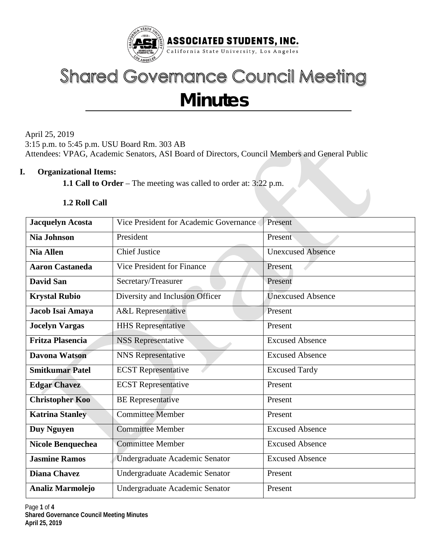

# **Shared Governance Council Meeting Minutes**

April 25, 2019 3:15 p.m. to 5:45 p.m. USU Board Rm. 303 AB Attendees: VPAG, Academic Senators, ASI Board of Directors, Council Members and General Public

## **I. Organizational Items:**

**1.1 Call to Order** – The meeting was called to order at: 3:22 p.m.

## **1.2 Roll Call**

| <b>Jacquelyn Acosta</b> | Vice President for Academic Governance | Present                  |  |  |  |
|-------------------------|----------------------------------------|--------------------------|--|--|--|
| <b>Nia Johnson</b>      | President                              | Present                  |  |  |  |
| <b>Nia Allen</b>        | <b>Chief Justice</b>                   | <b>Unexcused Absence</b> |  |  |  |
| <b>Aaron Castaneda</b>  | <b>Vice President for Finance</b>      | Present                  |  |  |  |
| <b>David San</b>        | Secretary/Treasurer                    | Present                  |  |  |  |
| <b>Krystal Rubio</b>    | Diversity and Inclusion Officer        | <b>Unexcused Absence</b> |  |  |  |
| Jacob Isai Amaya        | <b>A&amp;L Representative</b>          | Present                  |  |  |  |
| <b>Jocelyn Vargas</b>   | <b>HHS</b> Representative              | Present                  |  |  |  |
| <b>Fritza Plasencia</b> | <b>NSS Representative</b>              | <b>Excused Absence</b>   |  |  |  |
| Davona Watson           | <b>NNS</b> Representative              | <b>Excused Absence</b>   |  |  |  |
| <b>Smitkumar Patel</b>  | <b>ECST</b> Representative             | <b>Excused Tardy</b>     |  |  |  |
| <b>Edgar Chavez</b>     | <b>ECST</b> Representative             | Present                  |  |  |  |
| <b>Christopher Koo</b>  | <b>BE</b> Representative               | Present                  |  |  |  |
| <b>Katrina Stanley</b>  | <b>Committee Member</b>                | Present                  |  |  |  |
| <b>Duy Nguyen</b>       | <b>Committee Member</b>                | <b>Excused Absence</b>   |  |  |  |
| Nicole Benquechea       | <b>Committee Member</b>                | <b>Excused Absence</b>   |  |  |  |
| <b>Jasmine Ramos</b>    | Undergraduate Academic Senator         | <b>Excused Absence</b>   |  |  |  |
| <b>Diana Chavez</b>     | Undergraduate Academic Senator         | Present                  |  |  |  |
| <b>Analiz Marmolejo</b> | Undergraduate Academic Senator         | Present                  |  |  |  |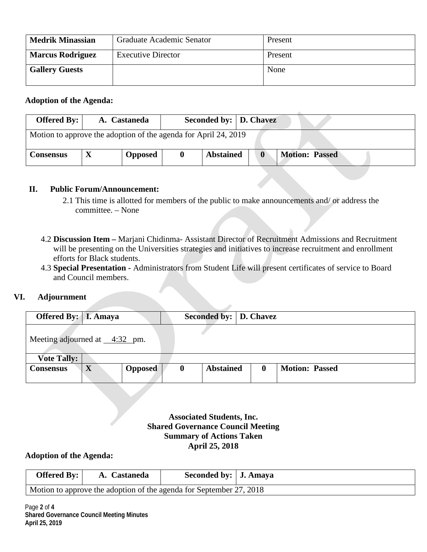| <b>Medrik Minassian</b> | Graduate Academic Senator | Present |
|-------------------------|---------------------------|---------|
| <b>Marcus Rodriguez</b> | <b>Executive Director</b> | Present |
| <b>Gallery Guests</b>   |                           | None    |

#### **Adoption of the Agenda:**

| Offered By: $\vert$                                             | A. Castaneda   | Seconded by:   D. Chavez |                                       |
|-----------------------------------------------------------------|----------------|--------------------------|---------------------------------------|
| Motion to approve the adoption of the agenda for April 24, 2019 |                |                          |                                       |
| <b>Consensus</b>                                                | <b>Opposed</b> | <b>Abstained</b>         | <b>Motion: Passed</b><br>$\mathbf{0}$ |

#### **II. Public Forum/Announcement:**

- 2.1 This time is allotted for members of the public to make announcements and/ or address the committee. – None
- 4.2 **Discussion Item –** Marjani Chidinma- Assistant Director of Recruitment Admissions and Recruitment will be presenting on the Universities strategies and initiatives to increase recruitment and enrollment efforts for Black students.
- 4.3 **Special Presentation -** Administrators from Student Life will present certificates of service to Board and Council members.

# **VI. Adjournment**

| <b>Offered By:</b>   I. Amaya               |   |                | Seconded by:   D. Chavez |                  |          |                       |
|---------------------------------------------|---|----------------|--------------------------|------------------|----------|-----------------------|
| Meeting adjourned at $\_\_4:32\_\text{pm}.$ |   |                |                          |                  |          |                       |
| <b>Vote Tally:</b>                          |   |                |                          |                  |          |                       |
| <b>Consensus</b>                            | X | <b>Opposed</b> | $\bf{0}$                 | <b>Abstained</b> | $\bf{0}$ | <b>Motion: Passed</b> |

**Associated Students, Inc. Shared Governance Council Meeting Summary of Actions Taken April 25, 2018**

#### **Adoption of the Agenda:**

| Offered By: $\vert$                                                 | A. Castaneda | Seconded by:   J. Amaya |  |  |  |  |  |
|---------------------------------------------------------------------|--------------|-------------------------|--|--|--|--|--|
| Motion to approve the adoption of the agenda for September 27, 2018 |              |                         |  |  |  |  |  |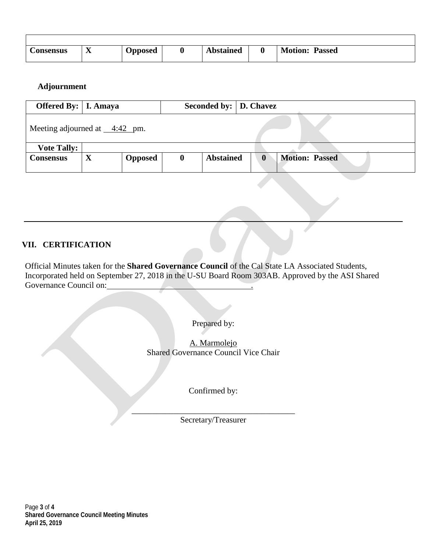| <b>Consensus</b> | $\boldsymbol{\Lambda}$ | <b>Opposed</b> | υ | <b>Abstained</b> | U | <b>Motion:</b><br>Passed |
|------------------|------------------------|----------------|---|------------------|---|--------------------------|

## **Adjournment**

| <b>Offered By:</b>   I. Amaya                |             |                |          | Seconded by:   D. Chavez |              |                       |
|----------------------------------------------|-------------|----------------|----------|--------------------------|--------------|-----------------------|
| Meeting adjourned at $\_\_4:42\_\text{pm}$ . |             |                |          |                          |              |                       |
| <b>Vote Tally:</b>                           |             |                |          |                          |              |                       |
| Consensus                                    | $\mathbf X$ | <b>Opposed</b> | $\bf{0}$ | <b>Abstained</b>         | $\mathbf{0}$ | <b>Motion: Passed</b> |

# **VII. CERTIFICATION**

Official Minutes taken for the **Shared Governance Council** of the Cal State LA Associated Students, Incorporated held on September 27, 2018 in the U-SU Board Room 303AB. Approved by the ASI Shared Governance Council on:

Prepared by:

A. Marmolejo Shared Governance Council Vice Chair

Confirmed by:

\_\_\_\_\_\_\_\_\_\_\_\_\_\_\_\_\_\_\_\_\_\_\_\_\_\_\_\_\_\_\_\_\_\_\_\_\_\_\_ Secretary/Treasurer